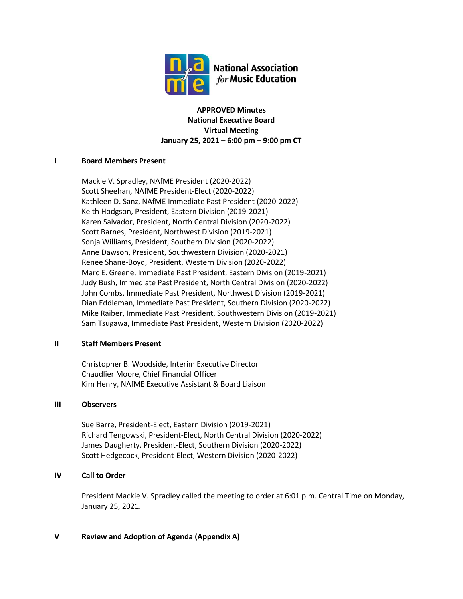

**APPROVED Minutes National Executive Board Virtual Meeting January 25, 2021 – 6:00 pm – 9:00 pm CT**

### **I Board Members Present**

Mackie V. Spradley, NAfME President (2020-2022) Scott Sheehan, NAfME President-Elect (2020-2022) Kathleen D. Sanz, NAfME Immediate Past President (2020-2022) Keith Hodgson, President, Eastern Division (2019-2021) Karen Salvador, President, North Central Division (2020-2022) Scott Barnes, President, Northwest Division (2019-2021) Sonja Williams, President, Southern Division (2020-2022) Anne Dawson, President, Southwestern Division (2020-2021) Renee Shane-Boyd, President, Western Division (2020-2022) Marc E. Greene, Immediate Past President, Eastern Division (2019-2021) Judy Bush, Immediate Past President, North Central Division (2020-2022) John Combs, Immediate Past President, Northwest Division (2019-2021) Dian Eddleman, Immediate Past President, Southern Division (2020-2022) Mike Raiber, Immediate Past President, Southwestern Division (2019-2021) Sam Tsugawa, Immediate Past President, Western Division (2020-2022)

### **II Staff Members Present**

Christopher B. Woodside, Interim Executive Director Chaudlier Moore, Chief Financial Officer Kim Henry, NAfME Executive Assistant & Board Liaison

### **III Observers**

Sue Barre, President-Elect, Eastern Division (2019-2021) Richard Tengowski, President-Elect, North Central Division (2020-2022) James Daugherty, President-Elect, Southern Division (2020-2022) Scott Hedgecock, President-Elect, Western Division (2020-2022)

## **IV Call to Order**

President Mackie V. Spradley called the meeting to order at 6:01 p.m. Central Time on Monday, January 25, 2021.

### **V Review and Adoption of Agenda (Appendix A)**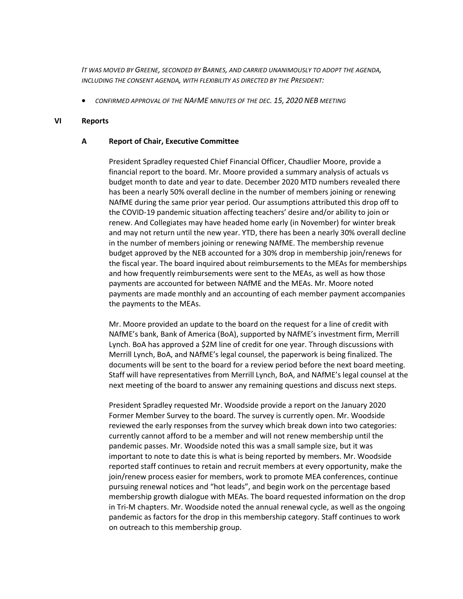*IT WAS MOVED BY GREENE, SECONDED BY BARNES, AND CARRIED UNANIMOUSLY TO ADOPT THE AGENDA, INCLUDING THE CONSENT AGENDA, WITH FLEXIBILITY AS DIRECTED BY THE PRESIDENT:*

• *CONFIRMED APPROVAL OF THE NAFME MINUTES OF THE DEC. 15, 2020 NEB MEETING*

#### **VI Reports**

#### **A Report of Chair, Executive Committee**

President Spradley requested Chief Financial Officer, Chaudlier Moore, provide a financial report to the board. Mr. Moore provided a summary analysis of actuals vs budget month to date and year to date. December 2020 MTD numbers revealed there has been a nearly 50% overall decline in the number of members joining or renewing NAfME during the same prior year period. Our assumptions attributed this drop off to the COVID-19 pandemic situation affecting teachers' desire and/or ability to join or renew. And Collegiates may have headed home early (in November) for winter break and may not return until the new year. YTD, there has been a nearly 30% overall decline in the number of members joining or renewing NAfME. The membership revenue budget approved by the NEB accounted for a 30% drop in membership join/renews for the fiscal year. The board inquired about reimbursements to the MEAs for memberships and how frequently reimbursements were sent to the MEAs, as well as how those payments are accounted for between NAfME and the MEAs. Mr. Moore noted payments are made monthly and an accounting of each member payment accompanies the payments to the MEAs.

Mr. Moore provided an update to the board on the request for a line of credit with NAfME's bank, Bank of America (BoA), supported by NAfME's investment firm, Merrill Lynch. BoA has approved a \$2M line of credit for one year. Through discussions with Merrill Lynch, BoA, and NAfME's legal counsel, the paperwork is being finalized. The documents will be sent to the board for a review period before the next board meeting. Staff will have representatives from Merrill Lynch, BoA, and NAfME's legal counsel at the next meeting of the board to answer any remaining questions and discuss next steps.

President Spradley requested Mr. Woodside provide a report on the January 2020 Former Member Survey to the board. The survey is currently open. Mr. Woodside reviewed the early responses from the survey which break down into two categories: currently cannot afford to be a member and will not renew membership until the pandemic passes. Mr. Woodside noted this was a small sample size, but it was important to note to date this is what is being reported by members. Mr. Woodside reported staff continues to retain and recruit members at every opportunity, make the join/renew process easier for members, work to promote MEA conferences, continue pursuing renewal notices and "hot leads", and begin work on the percentage based membership growth dialogue with MEAs. The board requested information on the drop in Tri-M chapters. Mr. Woodside noted the annual renewal cycle, as well as the ongoing pandemic as factors for the drop in this membership category. Staff continues to work on outreach to this membership group.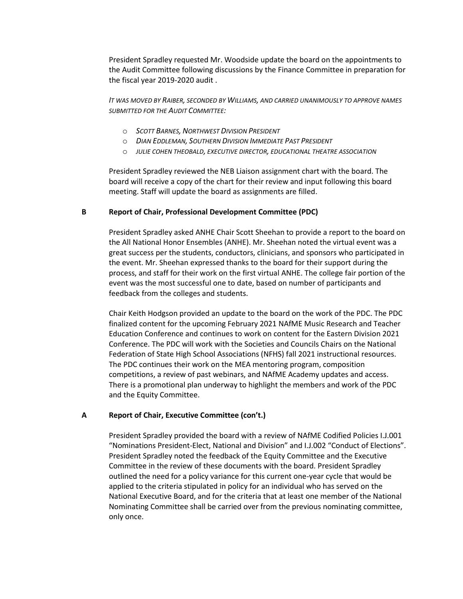President Spradley requested Mr. Woodside update the board on the appointments to the Audit Committee following discussions by the Finance Committee in preparation for the fiscal year 2019-2020 audit .

*IT WAS MOVED BY RAIBER, SECONDED BY WILLIAMS, AND CARRIED UNANIMOUSLY TO APPROVE NAMES SUBMITTED FOR THE AUDIT COMMITTEE:*

- o *SCOTT BARNES, NORTHWEST DIVISION PRESIDENT*
- o *DIAN EDDLEMAN, SOUTHERN DIVISION IMMEDIATE PAST PRESIDENT*
- o *JULIE COHEN THEOBALD, EXECUTIVE DIRECTOR, EDUCATIONAL THEATRE ASSOCIATION*

President Spradley reviewed the NEB Liaison assignment chart with the board. The board will receive a copy of the chart for their review and input following this board meeting. Staff will update the board as assignments are filled.

#### **B Report of Chair, Professional Development Committee (PDC)**

President Spradley asked ANHE Chair Scott Sheehan to provide a report to the board on the All National Honor Ensembles (ANHE). Mr. Sheehan noted the virtual event was a great success per the students, conductors, clinicians, and sponsors who participated in the event. Mr. Sheehan expressed thanks to the board for their support during the process, and staff for their work on the first virtual ANHE. The college fair portion of the event was the most successful one to date, based on number of participants and feedback from the colleges and students.

Chair Keith Hodgson provided an update to the board on the work of the PDC. The PDC finalized content for the upcoming February 2021 NAfME Music Research and Teacher Education Conference and continues to work on content for the Eastern Division 2021 Conference. The PDC will work with the Societies and Councils Chairs on the National Federation of State High School Associations (NFHS) fall 2021 instructional resources. The PDC continues their work on the MEA mentoring program, composition competitions, a review of past webinars, and NAfME Academy updates and access. There is a promotional plan underway to highlight the members and work of the PDC and the Equity Committee.

### **A Report of Chair, Executive Committee (con't.)**

President Spradley provided the board with a review of NAfME Codified Policies I.J.001 "Nominations President-Elect, National and Division" and I.J.002 "Conduct of Elections". President Spradley noted the feedback of the Equity Committee and the Executive Committee in the review of these documents with the board. President Spradley outlined the need for a policy variance for this current one-year cycle that would be applied to the criteria stipulated in policy for an individual who has served on the National Executive Board, and for the criteria that at least one member of the National Nominating Committee shall be carried over from the previous nominating committee, only once.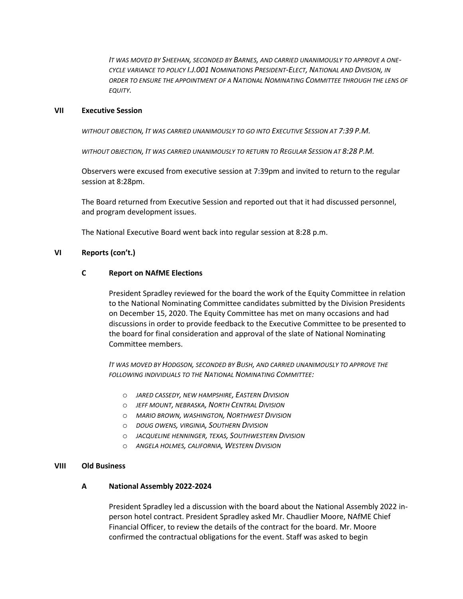*IT WAS MOVED BY SHEEHAN, SECONDED BY BARNES, AND CARRIED UNANIMOUSLY TO APPROVE A ONE-CYCLE VARIANCE TO POLICY I.J.001 NOMINATIONS PRESIDENT-ELECT, NATIONAL AND DIVISION, IN ORDER TO ENSURE THE APPOINTMENT OF A NATIONAL NOMINATING COMMITTEE THROUGH THE LENS OF EQUITY.*

#### **VII Executive Session**

*WITHOUT OBJECTION, IT WAS CARRIED UNANIMOUSLY TO GO INTO EXECUTIVE SESSION AT 7:39 P.M.*

*WITHOUT OBJECTION, IT WAS CARRIED UNANIMOUSLY TO RETURN TO REGULAR SESSION AT 8:28 P.M.*

Observers were excused from executive session at 7:39pm and invited to return to the regular session at 8:28pm.

The Board returned from Executive Session and reported out that it had discussed personnel, and program development issues.

The National Executive Board went back into regular session at 8:28 p.m.

#### **VI Reports (con't.)**

#### **C Report on NAfME Elections**

President Spradley reviewed for the board the work of the Equity Committee in relation to the National Nominating Committee candidates submitted by the Division Presidents on December 15, 2020. The Equity Committee has met on many occasions and had discussions in order to provide feedback to the Executive Committee to be presented to the board for final consideration and approval of the slate of National Nominating Committee members.

*IT WAS MOVED BY HODGSON, SECONDED BY BUSH, AND CARRIED UNANIMOUSLY TO APPROVE THE FOLLOWING INDIVIDUALS TO THE NATIONAL NOMINATING COMMITTEE:*

- o *JARED CASSEDY, NEW HAMPSHIRE, EASTERN DIVISION*
- o *JEFF MOUNT, NEBRASKA, NORTH CENTRAL DIVISION*
- o *MARIO BROWN, WASHINGTON, NORTHWEST DIVISION*
- o *DOUG OWENS, VIRGINIA, SOUTHERN DIVISION*
- o *JACQUELINE HENNINGER, TEXAS, SOUTHWESTERN DIVISION*
- o *ANGELA HOLMES, CALIFORNIA, WESTERN DIVISION*

#### **VIII Old Business**

#### **A National Assembly 2022-2024**

President Spradley led a discussion with the board about the National Assembly 2022 inperson hotel contract. President Spradley asked Mr. Chaudlier Moore, NAfME Chief Financial Officer, to review the details of the contract for the board. Mr. Moore confirmed the contractual obligations for the event. Staff was asked to begin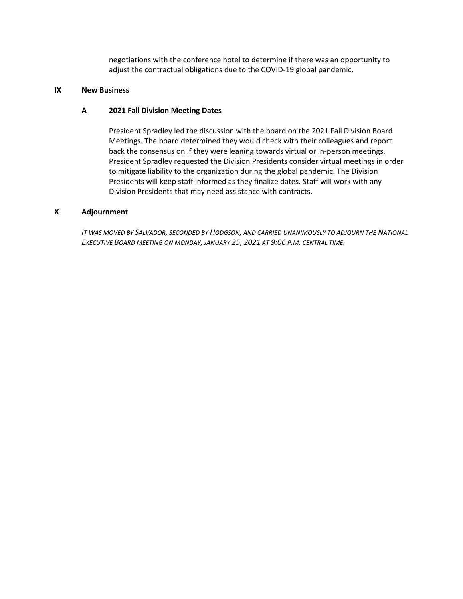negotiations with the conference hotel to determine if there was an opportunity to adjust the contractual obligations due to the COVID-19 global pandemic.

### **IX New Business**

## **A 2021 Fall Division Meeting Dates**

President Spradley led the discussion with the board on the 2021 Fall Division Board Meetings. The board determined they would check with their colleagues and report back the consensus on if they were leaning towards virtual or in-person meetings. President Spradley requested the Division Presidents consider virtual meetings in order to mitigate liability to the organization during the global pandemic. The Division Presidents will keep staff informed as they finalize dates. Staff will work with any Division Presidents that may need assistance with contracts.

### **X Adjournment**

*IT WAS MOVED BY SALVADOR, SECONDED BY HODGSON, AND CARRIED UNANIMOUSLY TO ADJOURN THE NATIONAL EXECUTIVE BOARD MEETING ON MONDAY, JANUARY 25, 2021 AT 9:06 P.M. CENTRAL TIME.*